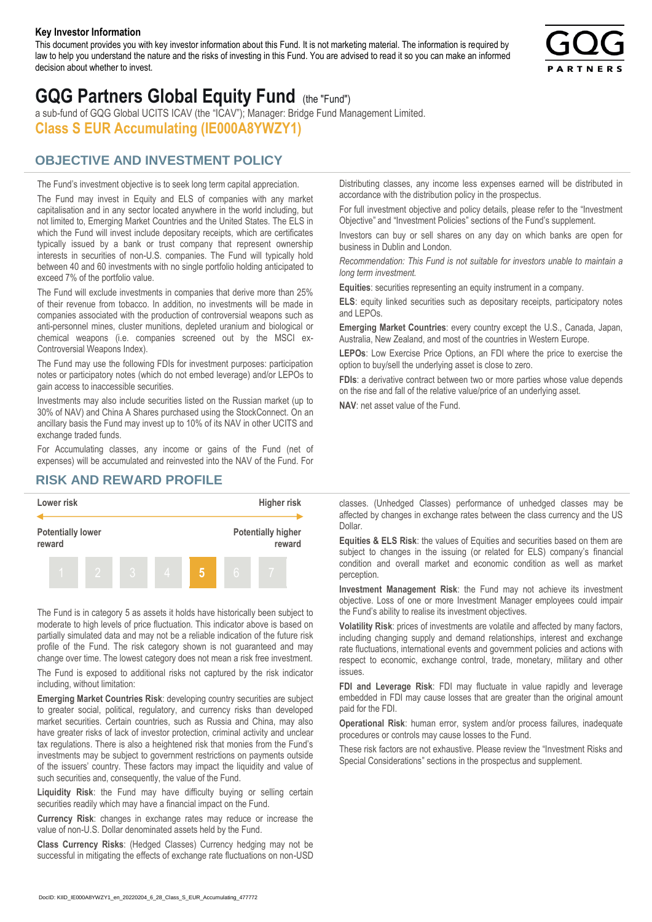#### **Key Investor Information**

This document provides you with key investor information about this Fund. It is not marketing material. The information is required by law to help you understand the nature and the risks of investing in this Fund. You are advised to read it so you can make an informed decision about whether to invest.



# **GQG Partners Global Equity Fund** (the "Fund")

a sub-fund of GQG Global UCITS ICAV (the "ICAV"); Manager: Bridge Fund Management Limited. **Class S EUR Accumulating (IE000A8YWZY1)**

### **OBJECTIVE AND INVESTMENT POLICY**

The Fund's investment objective is to seek long term capital appreciation. The Fund may invest in Equity and ELS of companies with any market capitalisation and in any sector located anywhere in the world including, but not limited to, Emerging Market Countries and the United States. The ELS in which the Fund will invest include depositary receipts, which are certificates typically issued by a bank or trust company that represent ownership interests in securities of non-U.S. companies. The Fund will typically hold between 40 and 60 investments with no single portfolio holding anticipated to exceed 7% of the portfolio value.

The Fund will exclude investments in companies that derive more than 25% of their revenue from tobacco. In addition, no investments will be made in companies associated with the production of controversial weapons such as anti-personnel mines, cluster munitions, depleted uranium and biological or chemical weapons (i.e. companies screened out by the MSCI ex-Controversial Weapons Index).

The Fund may use the following FDIs for investment purposes: participation notes or participatory notes (which do not embed leverage) and/or LEPOs to gain access to inaccessible securities.

Investments may also include securities listed on the Russian market (up to 30% of NAV) and China A Shares purchased using the StockConnect. On an ancillary basis the Fund may invest up to 10% of its NAV in other UCITS and exchange traded funds.

For Accumulating classes, any income or gains of the Fund (net of expenses) will be accumulated and reinvested into the NAV of the Fund. For Distributing classes, any income less expenses earned will be distributed in accordance with the distribution policy in the prospectus.

For full investment objective and policy details, please refer to the "Investment Objective" and "Investment Policies" sections of the Fund's supplement.

Investors can buy or sell shares on any day on which banks are open for business in Dublin and London.

*Recommendation: This Fund is not suitable for investors unable to maintain a long term investment.*

**Equities**: securities representing an equity instrument in a company.

**ELS**: equity linked securities such as depositary receipts, participatory notes and LEPOs.

**Emerging Market Countries**: every country except the U.S., Canada, Japan, Australia, New Zealand, and most of the countries in Western Europe.

**LEPOs**: Low Exercise Price Options, an FDI where the price to exercise the option to buy/sell the underlying asset is close to zero.

**FDIs**: a derivative contract between two or more parties whose value depends on the rise and fall of the relative value/price of an underlying asset.

**NAV**: net asset value of the Fund.

#### **RISK AND REWARD PROFILE**



The Fund is in category 5 as assets it holds have historically been subject to moderate to high levels of price fluctuation. This indicator above is based on partially simulated data and may not be a reliable indication of the future risk profile of the Fund. The risk category shown is not guaranteed and may change over time. The lowest category does not mean a risk free investment.

The Fund is exposed to additional risks not captured by the risk indicator including, without limitation:

**Emerging Market Countries Risk**: developing country securities are subject to greater social, political, regulatory, and currency risks than developed market securities. Certain countries, such as Russia and China, may also have greater risks of lack of investor protection, criminal activity and unclear tax regulations. There is also a heightened risk that monies from the Fund's investments may be subject to government restrictions on payments outside of the issuers' country. These factors may impact the liquidity and value of such securities and, consequently, the value of the Fund.

**Liquidity Risk**: the Fund may have difficulty buying or selling certain securities readily which may have a financial impact on the Fund.

**Currency Risk**: changes in exchange rates may reduce or increase the value of non-U.S. Dollar denominated assets held by the Fund.

**Class Currency Risks**: (Hedged Classes) Currency hedging may not be successful in mitigating the effects of exchange rate fluctuations on non-USD classes. (Unhedged Classes) performance of unhedged classes may be affected by changes in exchange rates between the class currency and the US Dollar.

**Equities & ELS Risk**: the values of Equities and securities based on them are subject to changes in the issuing (or related for ELS) company's financial condition and overall market and economic condition as well as market perception.

**Investment Management Risk**: the Fund may not achieve its investment objective. Loss of one or more Investment Manager employees could impair the Fund's ability to realise its investment objectives.

**Volatility Risk**: prices of investments are volatile and affected by many factors, including changing supply and demand relationships, interest and exchange rate fluctuations, international events and government policies and actions with respect to economic, exchange control, trade, monetary, military and other issues.

**FDI and Leverage Risk**: FDI may fluctuate in value rapidly and leverage embedded in FDI may cause losses that are greater than the original amount paid for the FDI.

**Operational Risk**: human error, system and/or process failures, inadequate procedures or controls may cause losses to the Fund.

These risk factors are not exhaustive. Please review the "Investment Risks and Special Considerations" sections in the prospectus and supplement.